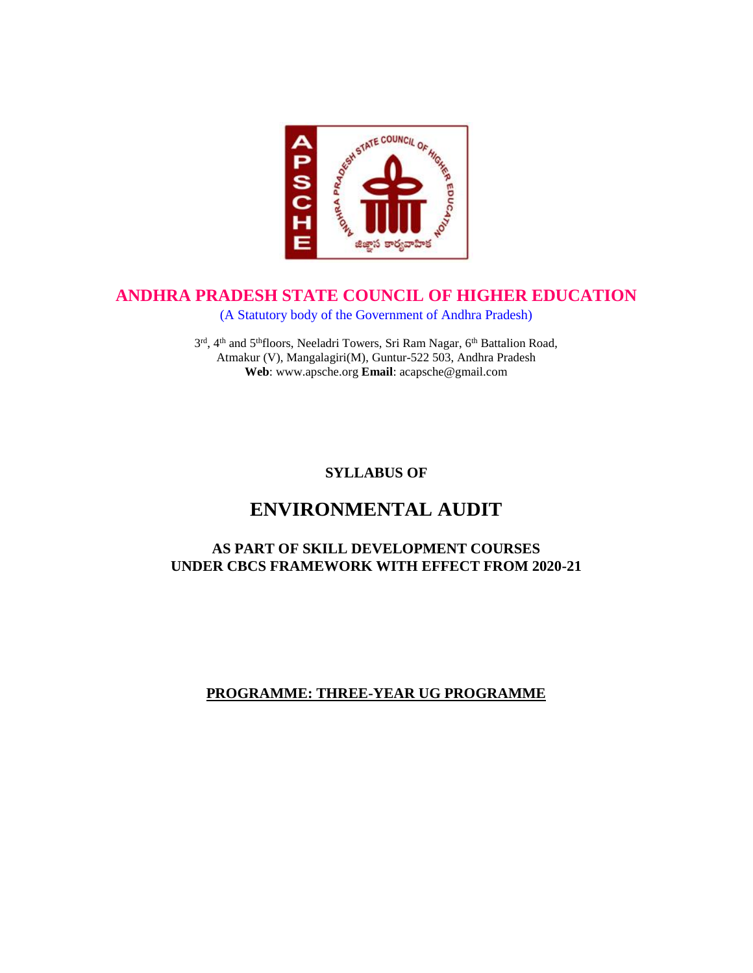

# **ANDHRA PRADESH STATE COUNCIL OF HIGHER EDUCATION**

(A Statutory body of the Government of Andhra Pradesh)

3<sup>rd</sup>, 4<sup>th</sup> and 5<sup>th</sup>floors, Neeladri Towers, Sri Ram Nagar, 6<sup>th</sup> Battalion Road, Atmakur (V), Mangalagiri(M), Guntur-522 503, Andhra Pradesh **Web**: www.apsche.org **Email**: acapsche@gmail.com

# **SYLLABUS OF**

# **ENVIRONMENTAL AUDIT**

# **AS PART OF SKILL DEVELOPMENT COURSES UNDER CBCS FRAMEWORK WITH EFFECT FROM 2020-21**

# **PROGRAMME: THREE-YEAR UG PROGRAMME**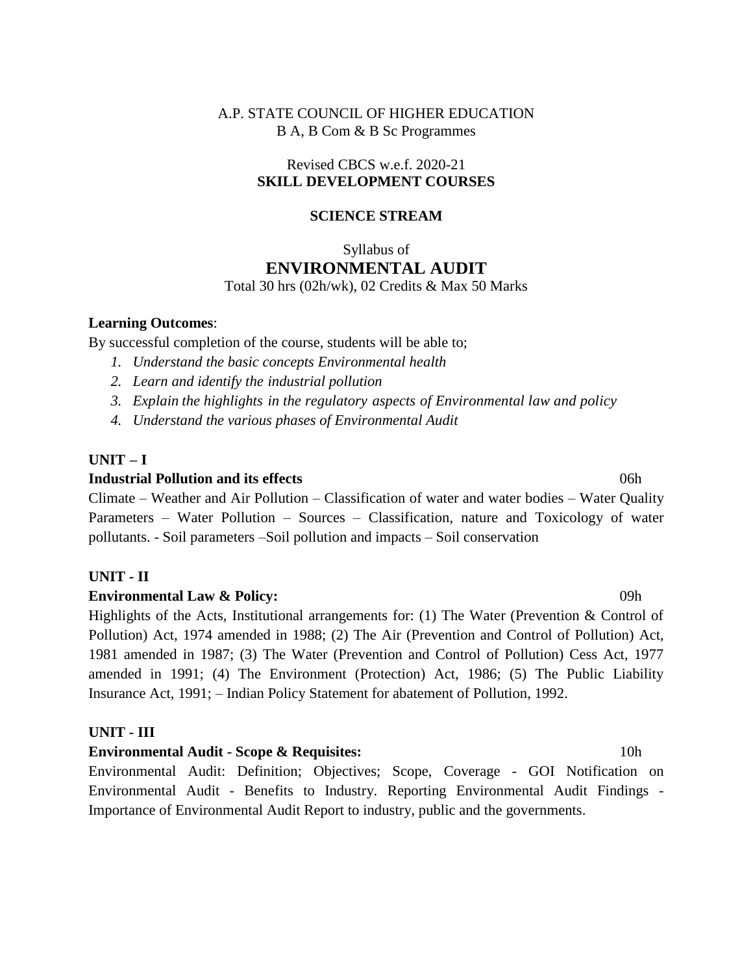### A.P. STATE COUNCIL OF HIGHER EDUCATION B A, B Com & B Sc Programmes

#### Revised CBCS w.e.f. 2020-21 **SKILL DEVELOPMENT COURSES**

#### **SCIENCE STREAM**

### Syllabus of **ENVIRONMENTAL AUDIT** Total 30 hrs (02h/wk), 02 Credits & Max 50 Marks

#### **Learning Outcomes**:

By successful completion of the course, students will be able to;

- *1. Understand the basic concepts Environmental health*
- *2. Learn and identify the industrial pollution*
- *3. Explain the highlights in the regulatory aspects of Environmental law and policy*
- *4. Understand the various phases of Environmental Audit*

#### **UNIT – I**

#### **Industrial Pollution and its effects** 1.1 and 1.1 and 1.1 and 1.1 and 1.1 and 1.1 and 1.1 and 1.1 and 1.1 and 1.1 and 1.1 and 1.1 and 1.1 and 1.1 and 1.1 and 1.1 and 1.1 and 1.1 and 1.1 and 1.1 and 1.1 and 1.1 and 1.1 and

Climate – Weather and Air Pollution – Classification of water and water bodies – Water Quality Parameters – Water Pollution – Sources – Classification, nature and Toxicology of water pollutants. - Soil parameters –Soil pollution and impacts – Soil conservation

#### **UNIT - II**

#### **Environmental Law & Policy:** 09h

Highlights of the Acts, Institutional arrangements for: (1) The Water (Prevention & Control of Pollution) Act, 1974 amended in 1988; (2) The Air (Prevention and Control of Pollution) Act, 1981 amended in 1987; (3) The Water (Prevention and Control of Pollution) Cess Act, 1977 amended in 1991; (4) The Environment (Protection) Act, 1986; (5) The Public Liability Insurance Act, 1991; – Indian Policy Statement for abatement of Pollution, 1992.

#### **UNIT - III**

**Environmental Audit - Scope & Requisites:** 10h Environmental Audit: Definition; Objectives; Scope, Coverage - GOI Notification on Environmental Audit - Benefits to Industry. Reporting Environmental Audit Findings - Importance of Environmental Audit Report to industry, public and the governments.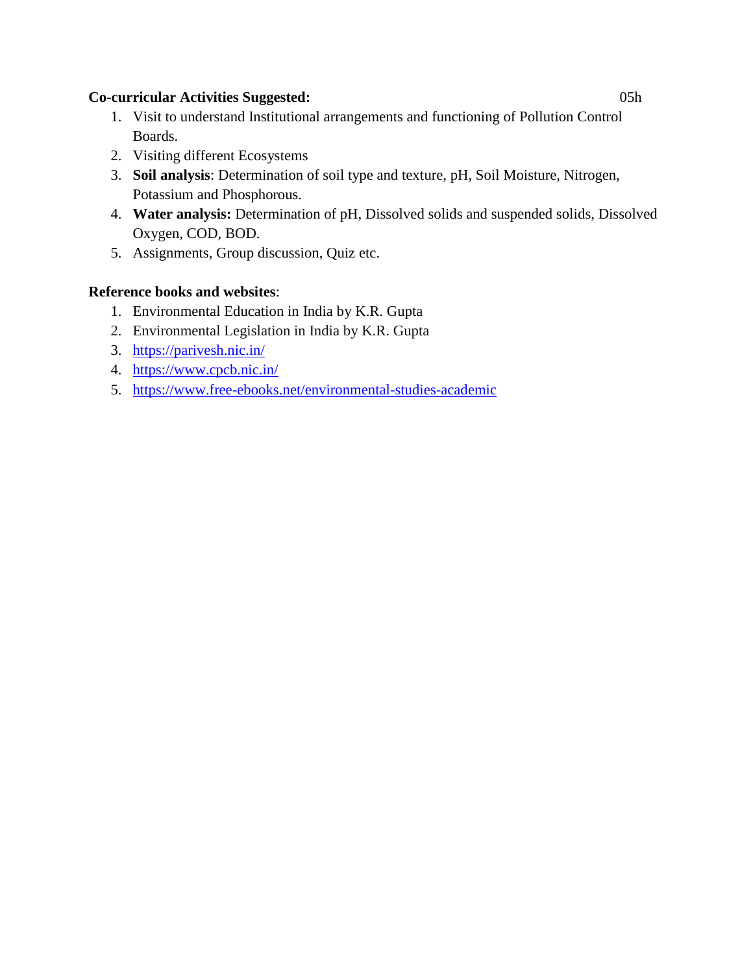### **Co-curricular Activities Suggested:** 05h

- 1. Visit to understand Institutional arrangements and functioning of Pollution Control Boards.
- 2. Visiting different Ecosystems
- 3. **Soil analysis**: Determination of soil type and texture, pH, Soil Moisture, Nitrogen, Potassium and Phosphorous.
- 4. **Water analysis:** Determination of pH, Dissolved solids and suspended solids, Dissolved Oxygen, COD, BOD.
- 5. Assignments, Group discussion, Quiz etc.

# **Reference books and websites**:

- 1. Environmental Education in India by [K.R. Gupta](https://www.amazon.com/s/ref=dp_byline_sr_book_1?ie=UTF8&field-author=K.R.+Gupta&text=K.R.+Gupta&sort=relevancerank&search-alias=books)
- 2. Environmental Legislation in India by K.R. Gupta
- 3. <https://parivesh.nic.in/>
- 4. <https://www.cpcb.nic.in/>
- 5. <https://www.free-ebooks.net/environmental-studies-academic>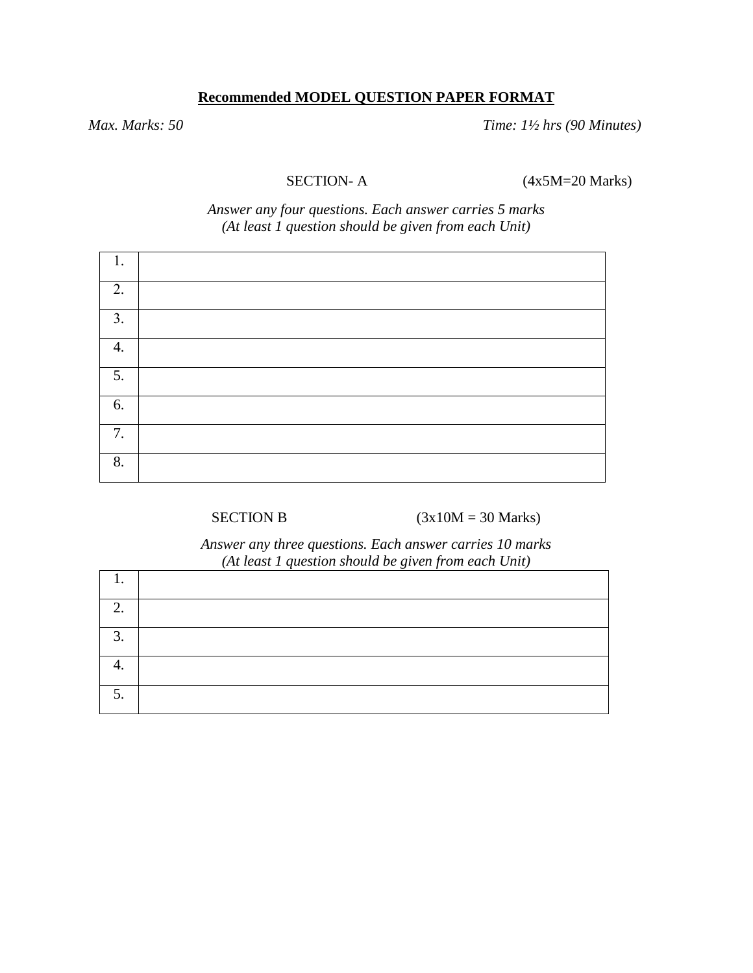# **Recommended MODEL QUESTION PAPER FORMAT**

*Max. Marks: 50 Time: 1½ hrs (90 Minutes)*

SECTION- A (4x5M=20 Marks)

*Answer any four questions. Each answer carries 5 marks (At least 1 question should be given from each Unit)*

| 1<br>ı. |  |
|---------|--|
| 2.      |  |
| 3.      |  |
| 4.      |  |
| 5.      |  |
| 6.      |  |
| 7.      |  |
| 8.      |  |

SECTION B  $(3x10M = 30 \text{ Marks})$ 

*Answer any three questions. Each answer carries 10 marks (At least 1 question should be given from each Unit)*

| ◠              |  |
|----------------|--|
| $\bigcap$<br>ر |  |
|                |  |
| ັ              |  |